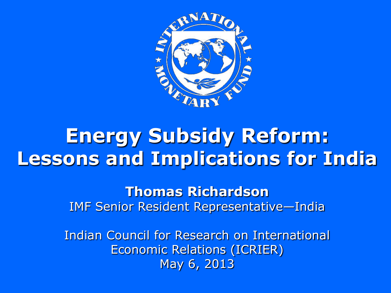

## **Energy Subsidy Reform: Lessons and Implications for India**

**Thomas Richardson** IMF Senior Resident Representative—India

Indian Council for Research on International Economic Relations (ICRIER) May 6, 2013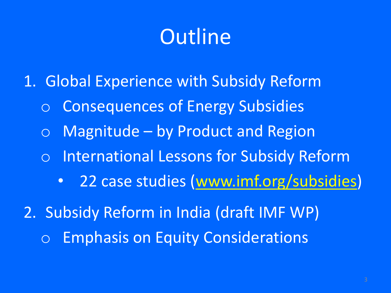# **Outline**

- 1. Global Experience with Subsidy Reform
	- o Consequences of Energy Subsidies
	- $\circ$  Magnitude by Product and Region
	- o International Lessons for Subsidy Reform
		- 22 case studies (www.imf.org/subsidies)
- 2. Subsidy Reform in India (draft IMF WP) o Emphasis on Equity Considerations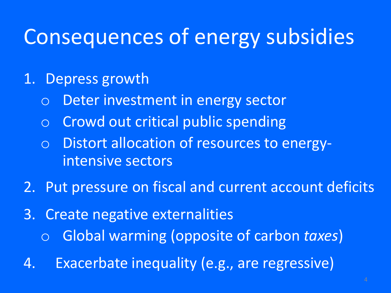# Consequences of energy subsidies

- 1. Depress growth
	- o Deter investment in energy sector
	- o Crowd out critical public spending
	- o Distort allocation of resources to energyintensive sectors
- 2. Put pressure on fiscal and current account deficits
- 3. Create negative externalities
	- o Global warming (opposite of carbon *taxes*)
- 4. Exacerbate inequality (e.g., are regressive)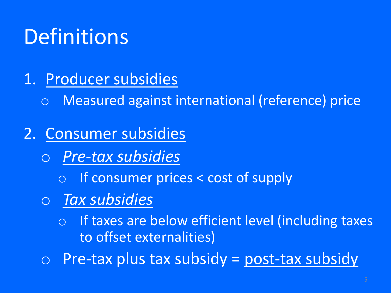# Definitions

- 1. Producer subsidies
	- o Measured against international (reference) price
- 2. Consumer subsidies
	- o *Pre-tax subsidies*
		- o If consumer prices < cost of supply
	- o *Tax subsidies*
		- o If taxes are below efficient level (including taxes to offset externalities)
	- $\circ$  Pre-tax plus tax subsidy = post-tax subsidy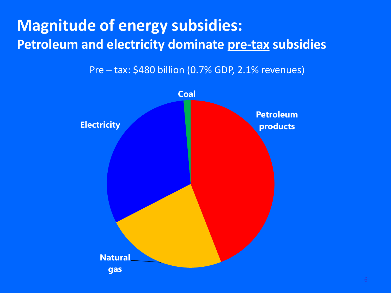### **Magnitude of energy subsidies: Petroleum and electricity dominate pre-tax subsidies**

Pre – tax: \$480 billion (0.7% GDP, 2.1% revenues)

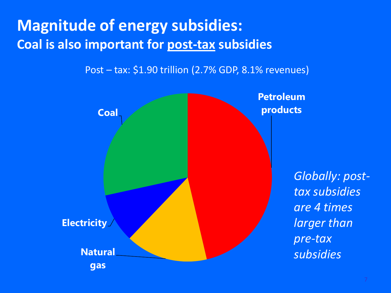### **Magnitude of energy subsidies: Coal is also important for post-tax subsidies**

Post – tax: \$1.90 trillion (2.7% GDP, 8.1% revenues)

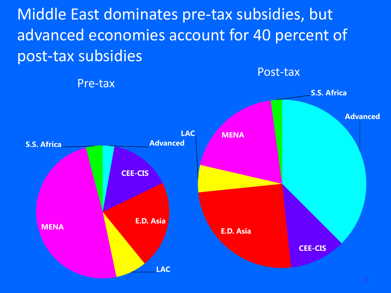Middle East dominates pre-tax subsidies, but advanced economies account for 40 percent of post-tax subsidies

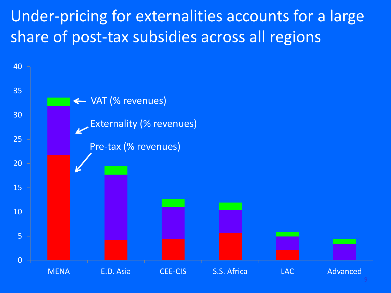### Under-pricing for externalities accounts for a large share of post-tax subsidies across all regions

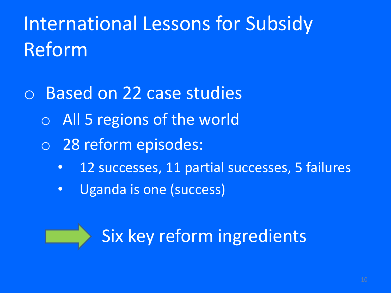# International Lessons for Subsidy Reform

- o Based on 22 case studies
	- o All 5 regions of the world
	- o 28 reform episodes:
		- 12 successes, 11 partial successes, 5 failures
		- Uganda is one (success)



Six key reform ingredients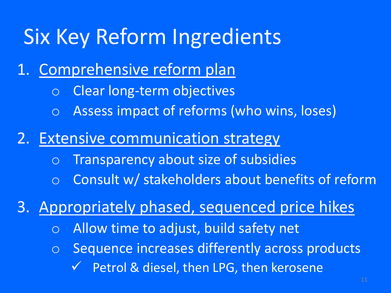# Six Key Reform Ingredients

- 1. Comprehensive reform plan
	- o Clear long-term objectives
	- o Assess impact of reforms (who wins, loses)
- 2. Extensive communication strategy
	- o Transparency about size of subsidies
	- o Consult w/ stakeholders about benefits of reform

3. Appropriately phased, sequenced price hikes

- o Allow time to adjust, build safety net
- o Sequence increases differently across products Petrol & diesel, then LPG, then kerosene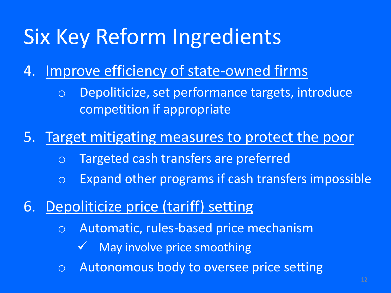# Six Key Reform Ingredients

### 4. Improve efficiency of state-owned firms

o Depoliticize, set performance targets, introduce competition if appropriate

### 5. Target mitigating measures to protect the poor

- o Targeted cash transfers are preferred
- o Expand other programs if cash transfers impossible

### 6. Depoliticize price (tariff) setting

- o Automatic, rules-based price mechanism
	- May involve price smoothing
- o Autonomous body to oversee price setting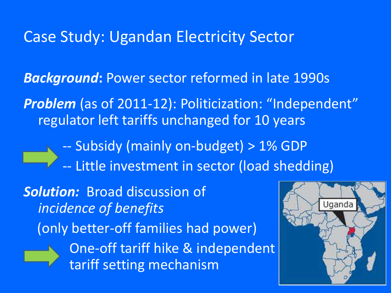### Case Study: Ugandan Electricity Sector

*Background***:** Power sector reformed in late 1990s

**Problem** (as of 2011-12): Politicization: "Independent" regulator left tariffs unchanged for 10 years

-- Subsidy (mainly on-budget) > 1% GDP

-- Little investment in sector (load shedding)

*Solution:* Broad discussion of *incidence of benefits*  (only better-off families had power) One-off tariff hike & independent tariff setting mechanism

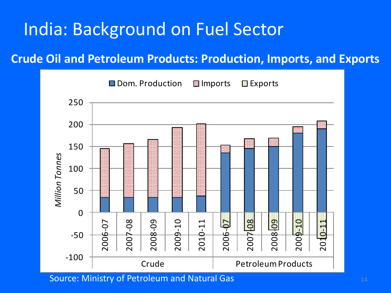## India: Background on Fuel Sector

#### **Crude Oil and Petroleum Products: Production, Imports, and Exports**



Source: Ministry of Petroleum and Natural Gas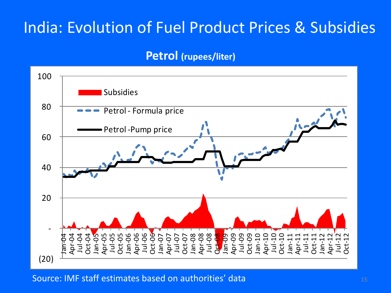#### **Petrol (rupees/liter)**



Source: IMF staff estimates based on authorities' data 15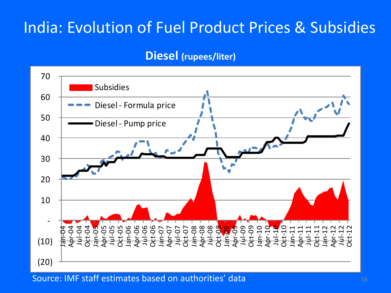#### **Diesel (rupees/liter)**



Source: IMF staff estimates based on authorities' data <sup>16</sup>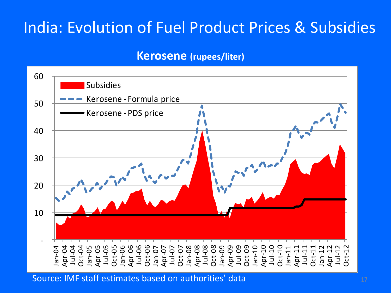#### **Kerosene (rupees/liter)**



Source: IMF staff estimates based on authorities' data 17 10 10 10 11 17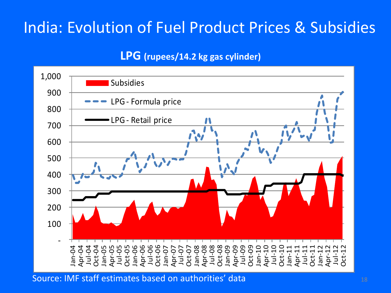#### **LPG (rupees/14.2 kg gas cylinder)**



Source: IMF staff estimates based on authorities' data 18 November 2014 18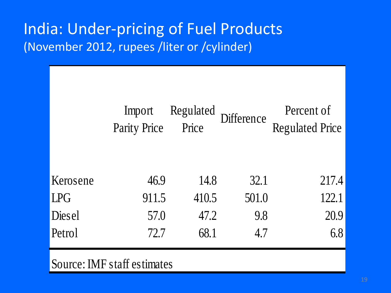### India: Under-pricing of Fuel Products (November 2012, rupees /liter or /cylinder)

|            | Import<br>Parity Price | Regulated<br>Price | Difference | Percent of<br><b>Regulated Price</b> |
|------------|------------------------|--------------------|------------|--------------------------------------|
| Kerosene   | 46.9                   | 14.8               | 32.1       | 217.4                                |
| <b>LPG</b> | 911.5                  | 410.5              | 501.0      | 122.1                                |
| Diesel     | 57.0                   | 47.2               | 9.8        | 20.9                                 |
| Petrol     | 72.7                   | 68.1               | 4.7        | 6.8                                  |
|            |                        |                    |            |                                      |

#### Source: IMF staff estimates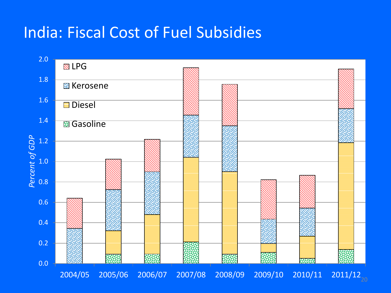### India: Fiscal Cost of Fuel Subsidies

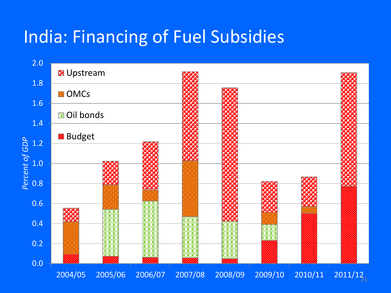## India: Financing of Fuel Subsidies

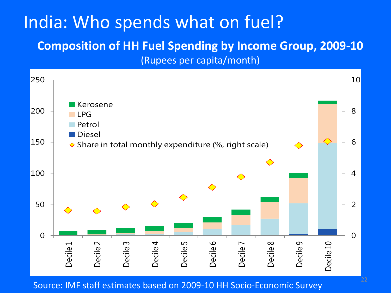## India: Who spends what on fuel?

#### **Composition of HH Fuel Spending by Income Group, 2009-10**

(Rupees per capita/month)



Source: IMF staff estimates based on 2009-10 HH Socio-Economic Survey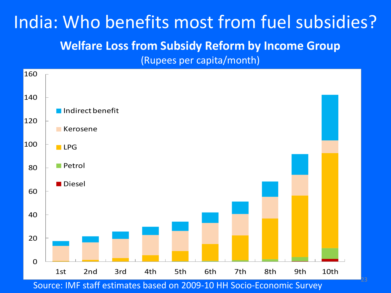### India: Who benefits most from fuel subsidies? **Welfare Loss from Subsidy Reform by Income Group** (Rupees per capita/month)



Source: IMF staff estimates based on 2009-10 HH Socio-Economic Survey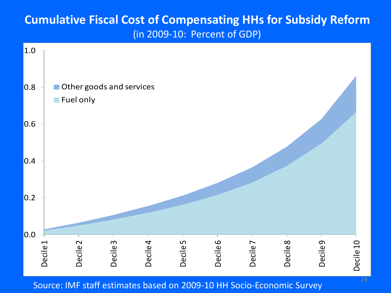#### **Cumulative Fiscal Cost of Compensating HHs for Subsidy Reform** (in 2009-10: Percent of GDP)



Source: IMF staff estimates based on 2009-10 HH Socio-Economic Survey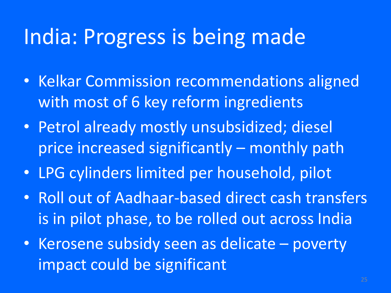## India: Progress is being made

- Kelkar Commission recommendations aligned with most of 6 key reform ingredients
- Petrol already mostly unsubsidized; diesel price increased significantly – monthly path
- LPG cylinders limited per household, pilot
- Roll out of Aadhaar-based direct cash transfers is in pilot phase, to be rolled out across India
- Kerosene subsidy seen as delicate poverty impact could be significant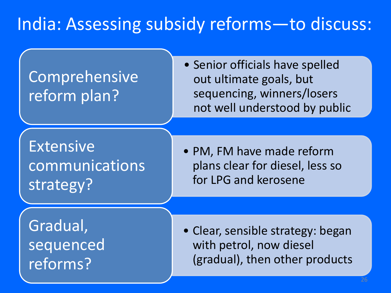## India: Assessing subsidy reforms—to discuss:

### Comprehensive reform plan?

• Senior officials have spelled out ultimate goals, but sequencing, winners/losers not well understood by public

Extensive communications strategy?

• PM, FM have made reform plans clear for diesel, less so for LPG and kerosene

Gradual, sequenced reforms?

• Clear, sensible strategy: began with petrol, now diesel (gradual), then other products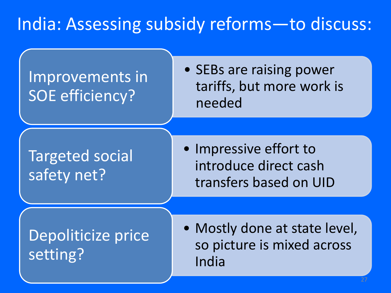## India: Assessing subsidy reforms—to discuss:

### Improvements in SOE efficiency?

• SEBs are raising power tariffs, but more work is needed

### Targeted social safety net?

• Impressive effort to introduce direct cash transfers based on UID

### Depoliticize price setting?

• Mostly done at state level, so picture is mixed across India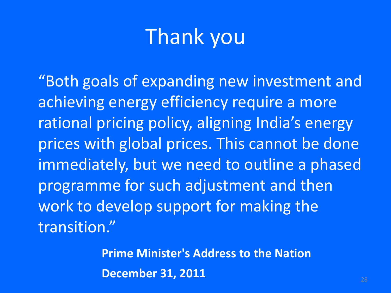# Thank you

"Both goals of expanding new investment and achieving energy efficiency require a more rational pricing policy, aligning India's energy prices with global prices. This cannot be done immediately, but we need to outline a phased programme for such adjustment and then work to develop support for making the transition."

> **Prime Minister's Address to the Nation December 31, 2011** 28 28 28 28 28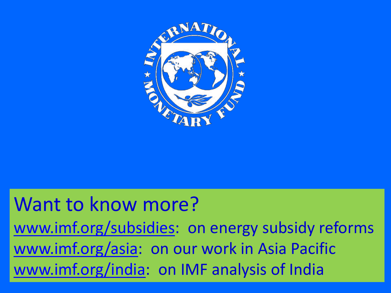

### 29 Want to know more? [www.imf.org/subsidies](http://www.imf.org/subsidies): on energy subsidy reforms [www.imf.org/asia](http://www.imf.org/asia): on our work in Asia Pacific [www.imf.org/india](http://www.imf.org/india): on IMF analysis of India